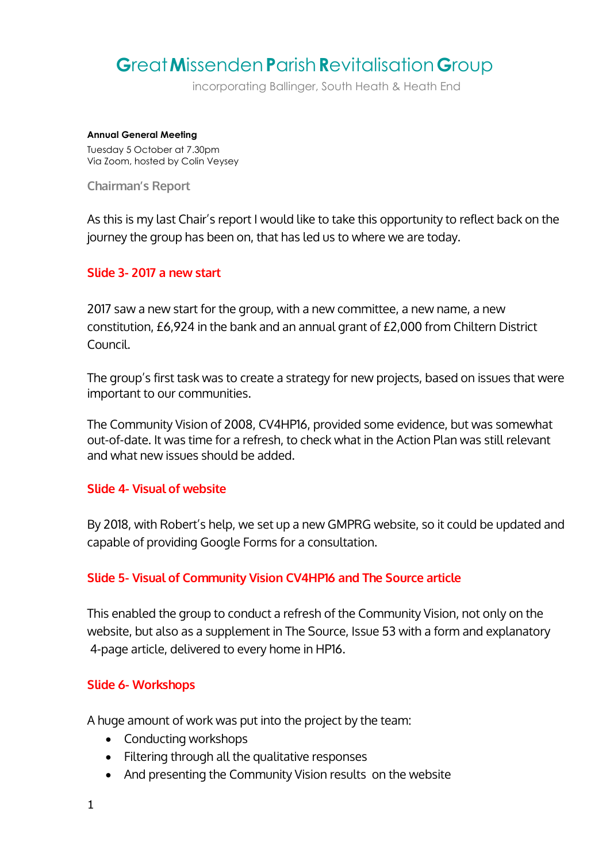# **G**reat**M**issenden**P**arish**R**evitalisation**G**roup

incorporating Ballinger, South Heath & Heath End

#### **Annual General Meeting**

Tuesday 5 October at 7.30pm Via Zoom, hosted by Colin Veysey

**Chairman's Report**

As this is my last Chair's report I would like to take this opportunity to reflect back on the journey the group has been on, that has led us to where we are today.

## **Slide 3- 2017 a new start**

2017 saw a new start for the group, with a new committee, a new name, a new constitution, £6,924 in the bank and an annual grant of £2,000 from Chiltern District Council.

The group's first task was to create a strategy for new projects, based on issues that were important to our communities.

The Community Vision of 2008, CV4HP16, provided some evidence, but was somewhat out-of-date. It was time for a refresh, to check what in the Action Plan was still relevant and what new issues should be added.

#### **Slide 4- Visual of website**

By 2018, with Robert's help, we set up a new GMPRG website, so it could be updated and capable of providing Google Forms for a consultation.

## **Slide 5- Visual of Community Vision CV4HP16 and The Source article**

This enabled the group to conduct a refresh of the Community Vision, not only on the website, but also as a supplement in The Source, Issue 53 with a form and explanatory 4-page article, delivered to every home in HP16.

## **Slide 6- Workshops**

A huge amount of work was put into the project by the team:

- Conducting workshops
- Filtering through all the qualitative responses
- And presenting the Community Vision results on the website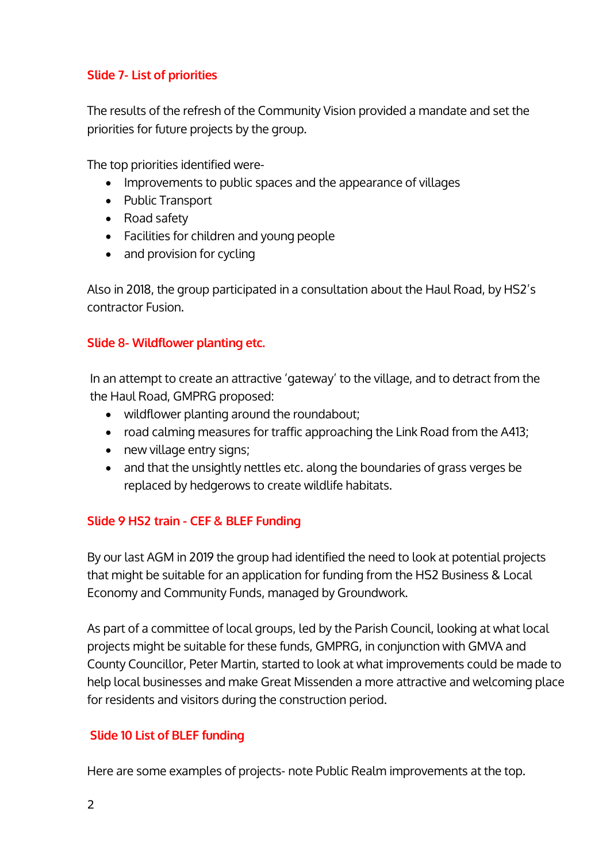## **Slide 7- List of priorities**

The results of the refresh of the Community Vision provided a mandate and set the priorities for future projects by the group.

The top priorities identified were-

- Improvements to public spaces and the appearance of villages
- Public Transport
- Road safety
- Facilities for children and young people
- and provision for cycling

Also in 2018, the group participated in a consultation about the Haul Road, by HS2's contractor Fusion.

## **Slide 8- Wildflower planting etc.**

In an attempt to create an attractive 'gateway' to the village, and to detract from the the Haul Road, GMPRG proposed:

- wildflower planting around the roundabout;
- road calming measures for traffic approaching the Link Road from the A413;
- new village entry signs;
- and that the unsightly nettles etc. along the boundaries of grass verges be replaced by hedgerows to create wildlife habitats.

## **Slide 9 HS2 train - CEF & BLEF Funding**

By our last AGM in 2019 the group had identified the need to look at potential projects that might be suitable for an application for funding from the HS2 Business & Local Economy and Community Funds, managed by Groundwork.

As part of a committee of local groups, led by the Parish Council, looking at what local projects might be suitable for these funds, GMPRG, in conjunction with GMVA and County Councillor, Peter Martin, started to look at what improvements could be made to help local businesses and make Great Missenden a more attractive and welcoming place for residents and visitors during the construction period.

## **Slide 10 List of BLEF funding**

Here are some examples of projects- note Public Realm improvements at the top.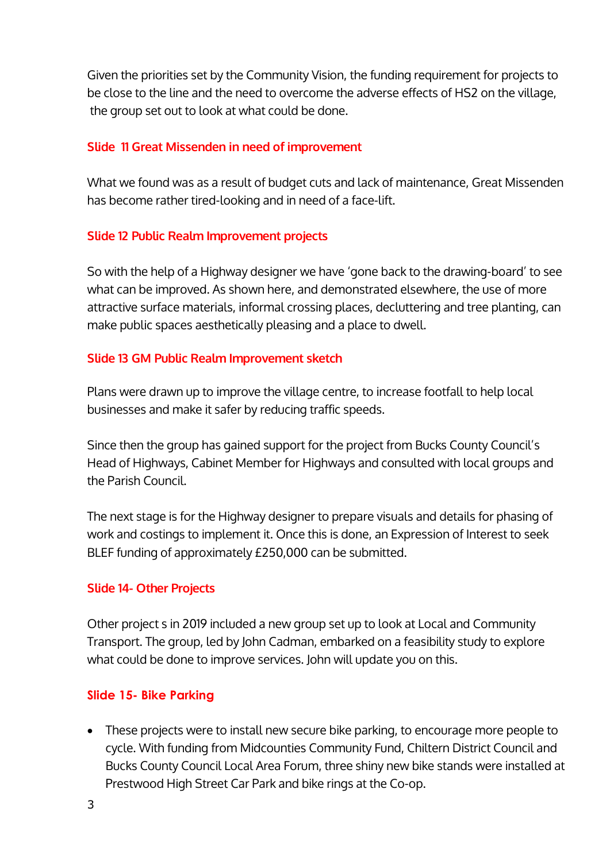Given the priorities set by the Community Vision, the funding requirement for projects to be close to the line and the need to overcome the adverse effects of HS2 on the village, the group set out to look at what could be done.

## **Slide 11 Great Missenden in need of improvement**

What we found was as a result of budget cuts and lack of maintenance, Great Missenden has become rather tired-looking and in need of a face-lift.

## **Slide 12 Public Realm Improvement projects**

So with the help of a Highway designer we have 'gone back to the drawing-board' to see what can be improved. As shown here, and demonstrated elsewhere, the use of more attractive surface materials, informal crossing places, decluttering and tree planting, can make public spaces aesthetically pleasing and a place to dwell.

## **Slide 13 GM Public Realm Improvement sketch**

Plans were drawn up to improve the village centre, to increase footfall to help local businesses and make it safer by reducing traffic speeds.

Since then the group has gained support for the project from Bucks County Council's Head of Highways, Cabinet Member for Highways and consulted with local groups and the Parish Council.

The next stage is for the Highway designer to prepare visuals and details for phasing of work and costings to implement it. Once this is done, an Expression of Interest to seek BLEF funding of approximately £250,000 can be submitted.

## **Slide 14- Other Projects**

Other project s in 2019 included a new group set up to look at Local and Community Transport. The group, led by John Cadman, embarked on a feasibility study to explore what could be done to improve services. John will update you on this.

## **Slide 15- Bike Parking**

 These projects were to install new secure bike parking, to encourage more people to cycle. With funding from Midcounties Community Fund, Chiltern District Council and Bucks County Council Local Area Forum, three shiny new bike stands were installed at Prestwood High Street Car Park and bike rings at the Co-op.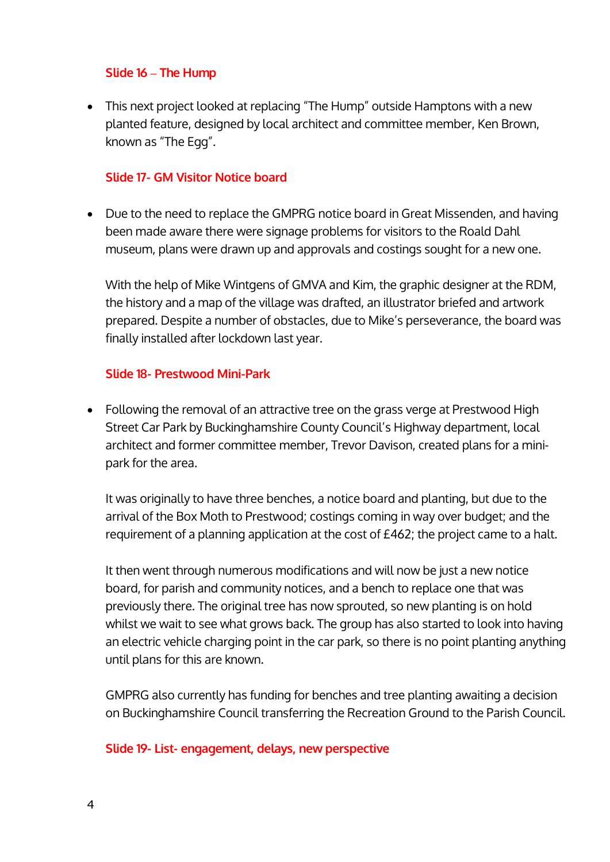#### **Slide 16 – The Hump**

• This next project looked at replacing "The Hump" outside Hamptons with a new planted feature, designed by local architect and committee member, Ken Brown, known as "The Egg".

## **Slide 17- GM Visitor Notice board**

• Due to the need to replace the GMPRG notice board in Great Missenden, and having been made aware there were signage problems for visitors to the Roald Dahl museum, plans were drawn up and approvals and costings sought for a new one.

With the help of Mike Wintgens of GMVA and Kim, the graphic designer at the RDM, the history and a map of the village was drafted, an illustrator briefed and artwork prepared. Despite a number of obstacles, due to Mike's perseverance, the board was finally installed after lockdown last year.

#### **Slide 18- Prestwood Mini-Park**

 Following the removal of an attractive tree on the grass verge at Prestwood High Street Car Park by Buckinghamshire County Council's Highway department, local architect and former committee member, Trevor Davison, created plans for a minipark for the area.

It was originally to have three benches, a notice board and planting, but due to the arrival of the Box Moth to Prestwood; costings coming in way over budget; and the requirement of a planning application at the cost of £462; the project came to a halt.

It then went through numerous modifications and will now be just a new notice board, for parish and community notices, and a bench to replace one that was previously there. The original tree has now sprouted, so new planting is on hold whilst we wait to see what grows back. The group has also started to look into having an electric vehicle charging point in the car park, so there is no point planting anything until plans for this are known.

GMPRG also currently has funding for benches and tree planting awaiting a decision on Buckinghamshire Council transferring the Recreation Ground to the Parish Council.

#### **Slide 19- List- engagement, delays, new perspective**